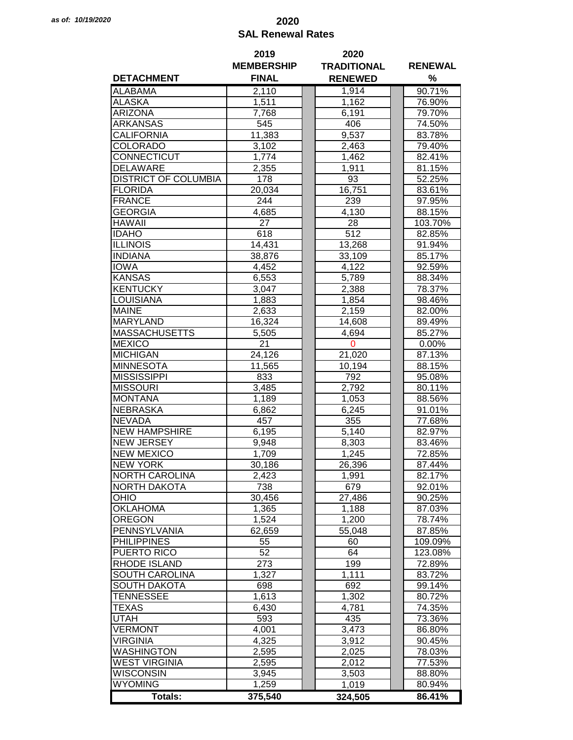## *as of: 10/19/2020* **2020 SAL Renewal Rates**

|                             | 2019              | 2020               |                  |  |  |
|-----------------------------|-------------------|--------------------|------------------|--|--|
|                             | <b>MEMBERSHIP</b> | <b>TRADITIONAL</b> | <b>RENEWAL</b>   |  |  |
| <b>DETACHMENT</b>           | <b>FINAL</b>      | <b>RENEWED</b>     | %                |  |  |
| <b>ALABAMA</b>              | 2,110             | 1,914              | 90.71%           |  |  |
| <b>ALASKA</b>               | 1,511             | 1,162              | 76.90%           |  |  |
| ARIZONA                     | 7,768             | 6,191              | 79.70%           |  |  |
| <b>ARKANSAS</b>             | 545               | 406                | 74.50%           |  |  |
| <b>CALIFORNIA</b>           | 11,383            | 9,537              | 83.78%           |  |  |
| <b>COLORADO</b>             | 3,102             | 2,463              | 79.40%           |  |  |
| <b>CONNECTICUT</b>          | 1,774             | 1,462              | 82.41%           |  |  |
| <b>DELAWARE</b>             | 2,355             | 1,911              | 81.15%           |  |  |
| <b>DISTRICT OF COLUMBIA</b> | 178               | 93                 | 52.25%           |  |  |
|                             |                   |                    |                  |  |  |
| <b>FLORIDA</b>              | 20,034            | 16,751             | 83.61%           |  |  |
| <b>FRANCE</b>               | 244               | 239                | 97.95%           |  |  |
| <b>GEORGIA</b>              | 4,685             | 4,130              | 88.15%           |  |  |
| <b>HAWAII</b>               | 27                | 28                 | 103.70%          |  |  |
| <b>IDAHO</b>                | 618               | 512                | 82.85%           |  |  |
| <b>ILLINOIS</b>             | 14,431            | 13,268             | 91.94%           |  |  |
| <b>INDIANA</b>              | 38,876            | 33,109             | 85.17%           |  |  |
| <b>IOWA</b>                 | 4,452             | 4,122              | 92.59%           |  |  |
| <b>KANSAS</b>               | 6,553             | 5,789              | 88.34%           |  |  |
| <b>KENTUCKY</b>             | 3,047             | 2,388              | 78.37%           |  |  |
| <b>LOUISIANA</b>            | 1,883             | 1,854              | 98.46%           |  |  |
| <b>MAINE</b>                | 2,633             | 2,159              | 82.00%           |  |  |
| <b>MARYLAND</b>             | 16,324            | 14,608             | 89.49%           |  |  |
| <b>MASSACHUSETTS</b>        | 5,505             | 4,694              | 85.27%           |  |  |
| <b>MEXICO</b>               | 21                | $\mathbf 0$        | 0.00%            |  |  |
| <b>MICHIGAN</b>             | 24,126            | 21,020             | 87.13%           |  |  |
| <b>MINNESOTA</b>            | 11,565            | 10,194             | 88.15%           |  |  |
| <b>MISSISSIPPI</b>          | 833               | 792                | 95.08%           |  |  |
| <b>MISSOURI</b>             | 3,485             | 2,792              | 80.11%           |  |  |
| <b>MONTANA</b>              | 1,189             | 1,053              | 88.56%           |  |  |
| <b>NEBRASKA</b>             | 6,862             | 6,245              | 91.01%           |  |  |
| <b>NEVADA</b>               |                   |                    |                  |  |  |
|                             | 457               | 355                | 77.68%<br>82.97% |  |  |
| <b>NEW HAMPSHIRE</b>        | 6,195             | 5,140              |                  |  |  |
| <b>NEW JERSEY</b>           | 9,948             | 8,303              | 83.46%           |  |  |
| <b>NEW MEXICO</b>           | 1,709             | 1,245              | 72.85%           |  |  |
| <b>NEW YORK</b>             | 30,186            | 26,396             | 87.44%           |  |  |
| <b>NORTH CAROLINA</b>       | 2,423             | 1,991              | 82.17%           |  |  |
| <b>NORTH DAKOTA</b>         | 738               | 679                | 92.01%           |  |  |
| OHIO                        | 30,456            | 27,486             | 90.25%           |  |  |
| <b>OKLAHOMA</b>             | 1,365             | 1,188              | 87.03%           |  |  |
| <b>OREGON</b>               | 1,524             | 1,200              | 78.74%           |  |  |
| PENNSYLVANIA                | 62,659            | 55,048             | 87.85%           |  |  |
| <b>PHILIPPINES</b>          | 55                | 60                 | 109.09%          |  |  |
| PUERTO RICO                 | 52                | 64                 | 123.08%          |  |  |
| <b>RHODE ISLAND</b>         | 273               | 199                | 72.89%           |  |  |
| <b>SOUTH CAROLINA</b>       | 1,327             | 1,111              | 83.72%           |  |  |
| <b>SOUTH DAKOTA</b>         | 698               | 692                | 99.14%           |  |  |
| <b>TENNESSEE</b>            | 1,613             | 1,302              | 80.72%           |  |  |
| <b>TEXAS</b>                | 6,430             | 4,781              | 74.35%           |  |  |
| <b>UTAH</b>                 | 593               | 435                | 73.36%           |  |  |
| <b>VERMONT</b>              | 4,001             | 3,473              | 86.80%           |  |  |
| <b>VIRGINIA</b>             | 4,325             | 3,912              | 90.45%           |  |  |
| <b>WASHINGTON</b>           | 2,595             | 2,025              | 78.03%           |  |  |
| <b>WEST VIRGINIA</b>        | 2,595             | 2,012              | 77.53%           |  |  |
|                             |                   |                    |                  |  |  |
| <b>WISCONSIN</b>            | 3,945             | 3,503              | 88.80%           |  |  |
| <b>WYOMING</b>              | 1,259             | 1,019              | 80.94%           |  |  |
| <b>Totals:</b>              | 375,540           | 324,505            | 86.41%           |  |  |